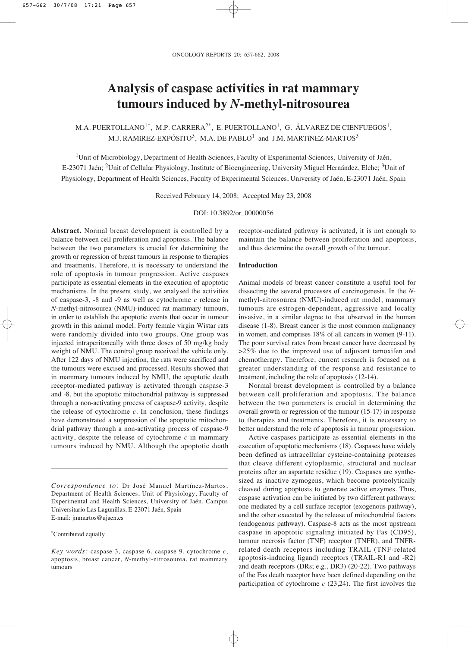# **Analysis of caspase activities in rat mammary tumours induced by** *N***-methyl-nitrosourea**

M.A. PUERTOLLANO<sup>1\*</sup>, M.P. CARRERA<sup>2\*</sup>, E. PUERTOLLANO<sup>1</sup>, G. ÁLVAREZ DE CIENFUEGOS<sup>1</sup>, M.J. RAMíREZ-EXPÓSITO<sup>3</sup>, M.A. DE PABLO<sup>1</sup> and J.M. MARTíNEZ-MARTOS<sup>3</sup>

<sup>1</sup>Unit of Microbiology, Department of Health Sciences, Faculty of Experimental Sciences, University of Jaén, E-23071 Jaén; <sup>2</sup>Unit of Cellular Physiology, Institute of Bioengineering, University Miguel Hernández, Elche; <sup>3</sup>Unit of Physiology, Department of Health Sciences, Faculty of Experimental Sciences, University of Jaén, E-23071 Jaén, Spain

Received February 14, 2008; Accepted May 23, 2008

DOI: 10.3892/or\_00000056

**Abstract.** Normal breast development is controlled by a balance between cell proliferation and apoptosis. The balance between the two parameters is crucial for determining the growth or regression of breast tumours in response to therapies and treatments. Therefore, it is necessary to understand the role of apoptosis in tumour progression. Active caspases participate as essential elements in the execution of apoptotic mechanisms. In the present study, we analysed the activities of caspase-3, -8 and -9 as well as cytochrome *c* release in *N*-methyl-nitrosourea (NMU)-induced rat mammary tumours, in order to establish the apoptotic events that occur in tumour growth in this animal model. Forty female virgin Wistar rats were randomly divided into two groups. One group was injected intraperitoneally with three doses of 50 mg/kg body weight of NMU. The control group received the vehicle only. After 122 days of NMU injection, the rats were sacrificed and the tumours were excised and processed. Results showed that in mammary tumours induced by NMU, the apoptotic death receptor-mediated pathway is activated through caspase-3 and -8, but the apoptotic mitochondrial pathway is suppressed through a non-activating process of caspase-9 activity, despite the release of cytochrome  $c$ . In conclusion, these findings have demonstrated a suppression of the apoptotic mitochondrial pathway through a non-activating process of caspase-9 activity, despite the release of cytochrome *c* in mammary tumours induced by NMU. Although the apoptotic death

\_\_\_\_\_\_\_\_\_\_\_\_\_\_\_\_\_\_\_\_\_\_\_\_\_\_\_\_\_\_\_\_\_\_\_\_\_\_\_\_\_

\*Contributed equally

receptor-mediated pathway is activated, it is not enough to maintain the balance between proliferation and apoptosis, and thus determine the overall growth of the tumour.

## **Introduction**

Animal models of breast cancer constitute a useful tool for dissecting the several processes of carcinogenesis. In the *N*methyl-nitrosourea (NMU)-induced rat model, mammary tumours are estrogen-dependent, aggressive and locally invasive, in a similar degree to that observed in the human disease (1-8). Breast cancer is the most common malignancy in women, and comprises 18% of all cancers in women (9-11). The poor survival rates from breast cancer have decreased by >25% due to the improved use of adjuvant tamoxifen and chemotherapy. Therefore, current research is focused on a greater understanding of the response and resistance to treatment, including the role of apoptosis (12-14).

Normal breast development is controlled by a balance between cell proliferation and apoptosis. The balance between the two parameters is crucial in determining the overall growth or regression of the tumour (15-17) in response to therapies and treatments. Therefore, it is necessary to better understand the role of apoptosis in tumour progression.

Active caspases participate as essential elements in the execution of apoptotic mechanisms (18). Caspases have widely been defined as intracellular cysteine-containing proteases that cleave different cytoplasmic, structural and nuclear proteins after an aspartate residue (19). Caspases are synthesized as inactive zymogens, which become proteolytically cleaved during apoptosis to generate active enzymes. Thus, caspase activation can be initiated by two different pathways: one mediated by a cell surface receptor (exogenous pathway), and the other executed by the release of mitochondrial factors (endogenous pathway). Caspase-8 acts as the most upstream caspase in apoptotic signaling initiated by Fas (CD95), tumour necrosis factor (TNF) receptor (TNFR), and TNFRrelated death receptors including TRAIL (TNF-related apoptosis-inducing ligand) receptors (TRAIL-R1 and -R2) and death receptors (DRs; e.g., DR3) (20-22). Two pathways of the Fas death receptor have been defined depending on the participation of cytochrome *c* (23,24). The first involves the

*Correspondence to*: Dr José Manuel Martínez-Martos, Department of Health Sciences, Unit of Physiology, Faculty of Experimental and Health Sciences, University of Jaén, Campus Universitario Las Lagunillas, E-23071 Jaén, Spain E-mail: jmmartos@ujaen.es

*Key words:* caspase 3, caspase 6, caspase 9, cytochrome *c*, apoptosis, breast cancer, *N*-methyl-nitrosourea, rat mammary tumours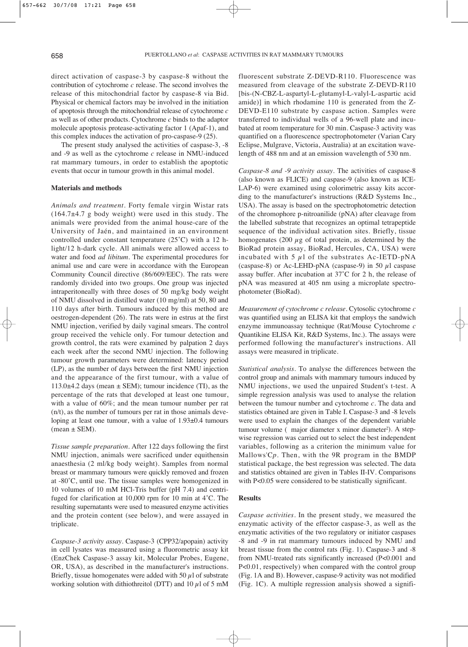direct activation of caspase-3 by caspase-8 without the contribution of cytochrome *c* release. The second involves the release of this mitochondrial factor by caspase-8 via Bid. Physical or chemical factors may be involved in the initiation of apoptosis through the mitochondrial release of cytochrome *c* as well as of other products. Cytochrome *c* binds to the adaptor molecule apoptosis protease-activating factor 1 (Apaf-1), and this complex induces the activation of pro-caspase-9 (25).

The present study analysed the activities of caspase-3, -8 and -9 as well as the cytochrome *c* release in NMU-induced rat mammary tumours, in order to establish the apoptotic events that occur in tumour growth in this animal model.

#### **Materials and methods**

*Animals and treatment.* Forty female virgin Wistar rats  $(164.7\pm4.7 \text{ g}$  body weight) were used in this study. The animals were provided from the animal house-care of the University of Jaén, and maintained in an environment controlled under constant temperature (25˚C) with a 12 hlight/12 h-dark cycle. All animals were allowed access to water and food *ad libitum*. The experimental procedures for animal use and care were in accordance with the European Community Council directive (86/609/EEC). The rats were randomly divided into two groups. One group was injected intraperitoneally with three doses of 50 mg/kg body weight of NMU dissolved in distilled water (10 mg/ml) at 50, 80 and 110 days after birth. Tumours induced by this method are oestrogen-dependent (26). The rats were in estrus at the first NMU injection, verified by daily vaginal smears. The control group received the vehicle only. For tumour detection and growth control, the rats were examined by palpation 2 days each week after the second NMU injection. The following tumour growth parameters were determined: latency period (LP), as the number of days between the first NMU injection and the appearance of the first tumour, with a value of 113.0 $\pm$ 4.2 days (mean  $\pm$  SEM); tumour incidence (TI), as the percentage of the rats that developed at least one tumour, with a value of 60%; and the mean tumour number per rat (n/t), as the number of tumours per rat in those animals developing at least one tumour, with a value of 1.93±0.4 tumours  $mean \pm SEM$ ).

*Tissue sample preparation.* After 122 days following the first NMU injection, animals were sacrificed under equithensin anaesthesia (2 ml/kg body weight). Samples from normal breast or mammary tumours were quickly removed and frozen at -80˚C, until use. The tissue samples were homogenized in 10 volumes of 10 mM HCl-Tris buffer (pH 7.4) and centrifuged for clarification at 10,000 rpm for 10 min at 4˚C. The resulting supernatants were used to measured enzyme activities and the protein content (see below), and were assayed in triplicate.

*Caspase-3 activity assay.* Caspase-3 (CPP32/apopain) activity in cell lysates was measured using a fluorometric assay kit (EnzChek Caspase-3 assay kit, Molecular Probes, Eugene, OR, USA), as described in the manufacturer's instructions. Briefly, tissue homogenates were added with 50  $\mu$ l of substrate working solution with dithiothreitol (DTT) and 10  $\mu$ l of 5 mM fluorescent substrate Z-DEVD-R110. Fluorescence was measured from cleavage of the substrate Z-DEVD-R110 [bis-(N-CBZ-L-aspartyl-L-glutamyl-L-valyl-L-aspartic acid amide)] in which rhodamine 110 is generated from the Z-DEVD-E110 substrate by caspase action. Samples were transferred to individual wells of a 96-well plate and incubated at room temperature for 30 min. Caspase-3 activity was quantified on a fluorescence spectrophotometer (Varian Cary Eclipse, Mulgrave, Victoria, Australia) at an excitation wavelength of 488 nm and at an emission wavelength of 530 nm.

*Caspase-8 and -9 activity assay.* The activities of caspase-8 (also known as FLICE) and caspase-9 (also known as ICE-LAP-6) were examined using colorimetric assay kits according to the manufacturer's instructions (R&D Systems Inc., USA). The assay is based on the spectrophotometric detection of the chromophore p-nitroanilide (pNA) after cleavage from the labelled substrate that recognizes an optimal tetrapeptide sequence of the individual activation sites. Briefly, tissue homogenates (200  $\mu$ g of total protein, as determined by the BioRad protein assay, BioRad, Hercules, CA, USA) were incubated with 5  $\mu$ l of the substrates Ac-IETD-pNA (caspase-8) or Ac-LEHD-pNA (caspase-9) in 50  $\mu$ l caspase assay buffer. After incubation at 37˚C for 2 h, the release of pNA was measured at 405 nm using a microplate spectrophotometer (BioRad).

*Measurement of cytochrome c release.* Cytosolic cytochrome *c* was quantified using an ELISA kit that employs the sandwich enzyme immunoassay technique (Rat/Mouse Cytochrome *c* Quantikine ELISA Kit, R&D Systems, Inc.). The assays were performed following the manufacturer's instructions. All assays were measured in triplicate.

*Statistical analysis.* To analyse the differences between the control group and animals with mammary tumours induced by NMU injections, we used the unpaired Student's t-test. A simple regression analysis was used to analyse the relation between the tumour number and cytochrome *c*. The data and statistics obtained are given in Table I. Caspase-3 and -8 levels were used to explain the changes of the dependent variable tumour volume ( major diameter x minor diameter<sup>2</sup>). A stepwise regression was carried out to select the best independent variables, following as a criterion the minimum value for Mallows'C*p*. Then, with the 9R program in the BMDP statistical package, the best regression was selected. The data and statistics obtained are given in Tables II-IV. Comparisons with P<0.05 were considered to be statistically significant.

### **Results**

*Caspase activities.* In the present study, we measured the enzymatic activity of the effector caspase-3, as well as the enzymatic activities of the two regulatory or initiator caspases -8 and -9 in rat mammary tumours induced by NMU and breast tissue from the control rats (Fig. 1). Caspase-3 and -8 from NMU-treated rats significantly increased (P<0.001 and P<0.01, respectively) when compared with the control group (Fig. 1A and B). However, caspase-9 activity was not modified (Fig. 1C). A multiple regression analysis showed a signifi-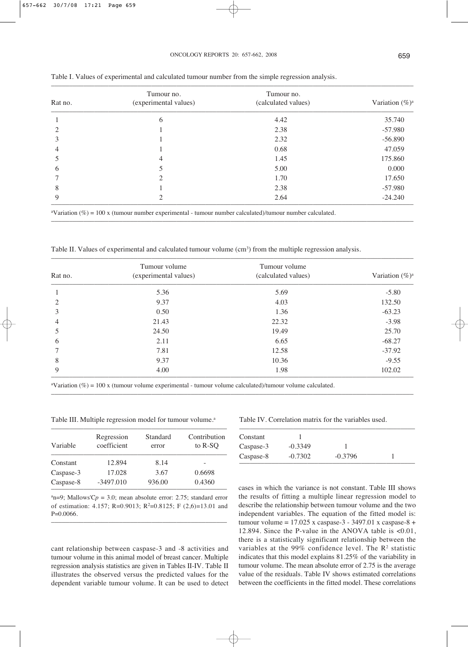| Rat no.        | Tumour no.<br>(experimental values) | Tumour no.<br>(calculated values) | Variation $(\%)^a$ |
|----------------|-------------------------------------|-----------------------------------|--------------------|
|                | 6                                   | 4.42                              | 35.740             |
| $\mathfrak{D}$ |                                     | 2.38                              | $-57.980$          |
| 3              |                                     | 2.32                              | $-56.890$          |
| 4              |                                     | 0.68                              | 47.059             |
| 5              | 4                                   | 1.45                              | 175.860            |
| 6              | 5                                   | 5.00                              | 0.000              |
|                | $\overline{c}$                      | 1.70                              | 17.650             |
| 8              |                                     | 2.38                              | $-57.980$          |
| 9              | $\mathfrak{D}$                      | 2.64                              | $-24.240$          |

–––––––––––––––––––––––––––––––––––––––––––––––––––––––––––––––––––––––––––––––––––––––––––––––––––––

Table I. Values of experimental and calculated tumour number from the simple regression analysis.

a Variation (%) = 100 x (tumour number experimental - tumour number calculated)/tumour number calculated.

Table II. Values of experimental and calculated tumour volume (cm<sup>3</sup>) from the multiple regression analysis.

| Rat no.        | Tumour volume<br>(experimental values) | Tumour volume<br>(calculated values) | Variation $(\%)^a$ |
|----------------|----------------------------------------|--------------------------------------|--------------------|
|                | 5.36                                   | 5.69                                 | $-5.80$            |
| 2              | 9.37                                   | 4.03                                 | 132.50             |
| 3              | 0.50                                   | 1.36                                 | $-63.23$           |
| $\overline{4}$ | 21.43                                  | 22.32                                | $-3.98$            |
| 5              | 24.50                                  | 19.49                                | 25.70              |
| 6              | 2.11                                   | 6.65                                 | $-68.27$           |
|                | 7.81                                   | 12.58                                | $-37.92$           |
| 8              | 9.37                                   | 10.36                                | $-9.55$            |
| 9              | 4.00                                   | 1.98                                 | 102.02             |

–––––––––––––––––––––––––––––––––––––––––––––––––––––––––––––––––––––––––––––––––––––––––––––––––––––

a Variation (%) = 100 x (tumour volume experimental - tumour volume calculated)/tumour volume calculated.

Table III. Multiple regression model for tumour volume.<sup>a</sup>

| Variable  | Regression<br>coefficient | Standard<br>error | Contribution<br>to R-SO |
|-----------|---------------------------|-------------------|-------------------------|
| Constant  | 12.894                    | 8.14              |                         |
| Caspase-3 | 17.028                    | 3.67              | 0.6698                  |
| Caspase-8 | $-3497.010$               | 936.00            | 0.4360                  |

 $a_n=9$ ; Mallows'C $p = 3.0$ ; mean absolute error: 2.75; standard error of estimation: 4.157; R=0.9013; R<sup>2</sup>=0.8125; F (2,6)=13.01 and P=0.0066.

–––––––––––––––––––––––––––––––––––––––––––––––––

cant relationship between caspase-3 and -8 activities and tumour volume in this animal model of breast cancer. Multiple regression analysis statistics are given in Tables II-IV. Table II illustrates the observed versus the predicted values for the dependent variable tumour volume. It can be used to detect Table IV. Correlation matrix for the variables used.

| Constant  |           |           |  |
|-----------|-----------|-----------|--|
| Caspase-3 | $-0.3349$ |           |  |
| Caspase-8 | $-0.7302$ | $-0.3796$ |  |

cases in which the variance is not constant. Table III shows the results of fitting a multiple linear regression model to describe the relationship between tumour volume and the two independent variables. The equation of the fitted model is: tumour volume = 17.025 x caspase-3 - 3497.01 x caspase-8 + 12.894. Since the P-value in the ANOVA table is <0.01, there is a statistically significant relationship between the variables at the 99% confidence level. The  $\mathbb{R}^2$  statistic indicates that this model explains 81.25% of the variability in tumour volume. The mean absolute error of 2.75 is the average value of the residuals. Table IV shows estimated correlations between the coefficients in the fitted model. These correlations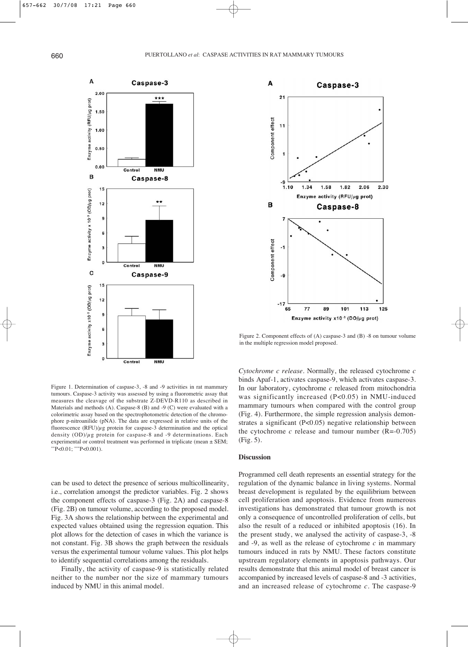

Figure 1. Determination of caspase-3, -8 and -9 activities in rat mammary tumours. Caspase-3 activity was assessed by using a fluorometric assay that measures the cleavage of the substrate Z-DEVD-R110 as described in Materials and methods (A). Caspase-8 (B) and -9 (C) were evaluated with a colorimetric assay based on the spectrophotometric detection of the chromophore p-nitroanilide (pNA). The data are expressed in relative units of the fluorescence  $(RFU)/\mu$ g protein for caspase-3 determination and the optical density  $(OD)/\mu$ g protein for caspase-8 and -9 determinations. Each experimental or control treatment was performed in triplicate (mean ± SEM;  $*P<0.01$ ;  $*P<0.001$ ).

can be used to detect the presence of serious multicollinearity, i.e., correlation amongst the predictor variables. Fig. 2 shows the component effects of caspase-3 (Fig. 2A) and caspase-8 (Fig. 2B) on tumour volume, according to the proposed model. Fig. 3A shows the relationship between the experimental and expected values obtained using the regression equation. This plot allows for the detection of cases in which the variance is not constant. Fig. 3B shows the graph between the residuals versus the experimental tumour volume values. This plot helps to identify sequential correlations among the residuals.

Finally, the activity of caspase-9 is statistically related neither to the number nor the size of mammary tumours induced by NMU in this animal model.



Figure 2. Component effects of (A) caspase-3 and (B) -8 on tumour volume in the multiple regression model proposed.

*Cytochrome c release.* Normally, the released cytochrome *c* binds Apaf-1, activates caspase-9, which activates caspase-3. In our laboratory, cytochrome *c* released from mitochondria was significantly increased (P<0.05) in NMU-induced mammary tumours when compared with the control group (Fig. 4). Furthermore, the simple regression analysis demonstrates a significant (P<0.05) negative relationship between the cytochrome  $c$  release and tumour number  $(R=0.705)$ (Fig. 5).

## **Discussion**

Programmed cell death represents an essential strategy for the regulation of the dynamic balance in living systems. Normal breast development is regulated by the equilibrium between cell proliferation and apoptosis. Evidence from numerous investigations has demonstrated that tumour growth is not only a consequence of uncontrolled proliferation of cells, but also the result of a reduced or inhibited apoptosis (16). In the present study, we analysed the activity of caspase-3, -8 and -9, as well as the release of cytochrome *c* in mammary tumours induced in rats by NMU. These factors constitute upstream regulatory elements in apoptosis pathways. Our results demonstrate that this animal model of breast cancer is accompanied by increased levels of caspase-8 and -3 activities, and an increased release of cytochrome *c*. The caspase-9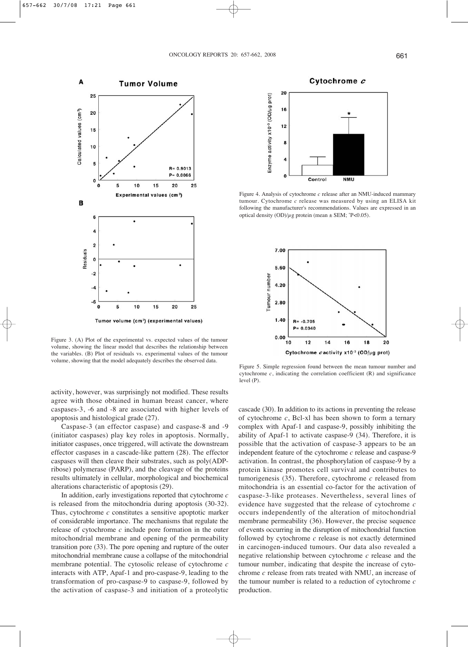

Figure 3. (A) Plot of the experimental vs. expected values of the tumour volume, showing the linear model that describes the relationship between the variables. (B) Plot of residuals vs. experimental values of the tumour volume, showing that the model adequately describes the observed data.

activity, however, was surprisingly not modified. These results agree with those obtained in human breast cancer, where caspases-3, -6 and -8 are associated with higher levels of apoptosis and histological grade (27).

Caspase-3 (an effector caspase) and caspase-8 and -9 (initiator caspases) play key roles in apoptosis. Normally, initiator caspases, once triggered, will activate the downstream effector caspases in a cascade-like pattern (28). The effector caspases will then cleave their substrates, such as poly(ADPribose) polymerase (PARP), and the cleavage of the proteins results ultimately in cellular, morphological and biochemical alterations characteristic of apoptosis (29).

In addition, early investigations reported that cytochrome *c* is released from the mitochondria during apoptosis (30-32). Thus, cytochrome *c* constitutes a sensitive apoptotic marker of considerable importance. The mechanisms that regulate the release of cytochrome *c* include pore formation in the outer mitochondrial membrane and opening of the permeability transition pore (33). The pore opening and rupture of the outer mitochondrial membrane cause a collapse of the mitochondrial membrane potential. The cytosolic release of cytochrome *c* interacts with ATP, Apaf-1 and pro-caspase-9, leading to the transformation of pro-caspase-9 to caspase-9, followed by the activation of caspase-3 and initiation of a proteolytic



Figure 4. Analysis of cytochrome *c* release after an NMU-induced mammary tumour. Cytochrome *c* release was measured by using an ELISA kit following the manufacturer's recommendations. Values are expressed in an optical density  $\frac{OD}{\mu g}$  protein (mean  $\pm$  SEM;  $\degree$ P<0.05).



Figure 5. Simple regression found between the mean tumour number and cytochrome *c*, indicating the correlation coefficient (R) and significance level (P).

cascade (30). In addition to its actions in preventing the release of cytochrome *c*, Bcl-xl has been shown to form a ternary complex with Apaf-1 and caspase-9, possibly inhibiting the ability of Apaf-1 to activate caspase-9 (34). Therefore, it is possible that the activation of caspase-3 appears to be an independent feature of the cytochrome *c* release and caspase-9 activation. In contrast, the phosphorylation of caspase-9 by a protein kinase promotes cell survival and contributes to tumorigenesis (35). Therefore, cytochrome *c* released from mitochondria is an essential co-factor for the activation of caspase-3-like proteases. Nevertheless, several lines of evidence have suggested that the release of cytochrome *c* occurs independently of the alteration of mitochondrial membrane permeability (36). However, the precise sequence of events occurring in the disruption of mitochondrial function followed by cytochrome *c* release is not exactly determined in carcinogen-induced tumours. Our data also revealed a negative relationship between cytochrome *c* release and the tumour number, indicating that despite the increase of cytochrome *c* release from rats treated with NMU, an increase of the tumour number is related to a reduction of cytochrome *c* production.